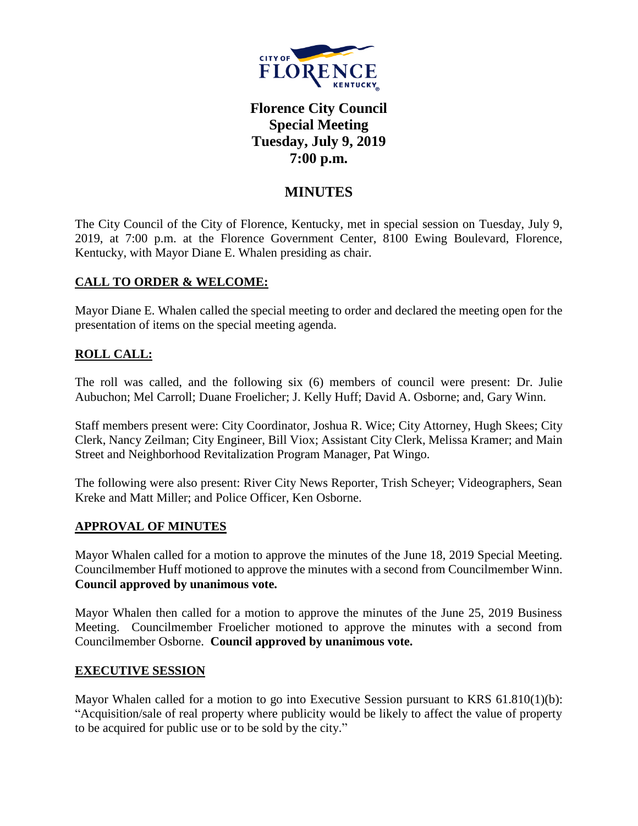

# **Florence City Council Special Meeting Tuesday, July 9, 2019 7:00 p.m.**

## **MINUTES**

The City Council of the City of Florence, Kentucky, met in special session on Tuesday, July 9, 2019, at 7:00 p.m. at the Florence Government Center, 8100 Ewing Boulevard, Florence, Kentucky, with Mayor Diane E. Whalen presiding as chair.

## **CALL TO ORDER & WELCOME:**

Mayor Diane E. Whalen called the special meeting to order and declared the meeting open for the presentation of items on the special meeting agenda.

## **ROLL CALL:**

The roll was called, and the following six (6) members of council were present: Dr. Julie Aubuchon; Mel Carroll; Duane Froelicher; J. Kelly Huff; David A. Osborne; and, Gary Winn.

Staff members present were: City Coordinator, Joshua R. Wice; City Attorney, Hugh Skees; City Clerk, Nancy Zeilman; City Engineer, Bill Viox; Assistant City Clerk, Melissa Kramer; and Main Street and Neighborhood Revitalization Program Manager, Pat Wingo.

The following were also present: River City News Reporter, Trish Scheyer; Videographers, Sean Kreke and Matt Miller; and Police Officer, Ken Osborne.

## **APPROVAL OF MINUTES**

Mayor Whalen called for a motion to approve the minutes of the June 18, 2019 Special Meeting. Councilmember Huff motioned to approve the minutes with a second from Councilmember Winn. **Council approved by unanimous vote.**

Mayor Whalen then called for a motion to approve the minutes of the June 25, 2019 Business Meeting. Councilmember Froelicher motioned to approve the minutes with a second from Councilmember Osborne. **Council approved by unanimous vote.**

#### **EXECUTIVE SESSION**

Mayor Whalen called for a motion to go into Executive Session pursuant to KRS 61.810(1)(b): "Acquisition/sale of real property where publicity would be likely to affect the value of property to be acquired for public use or to be sold by the city."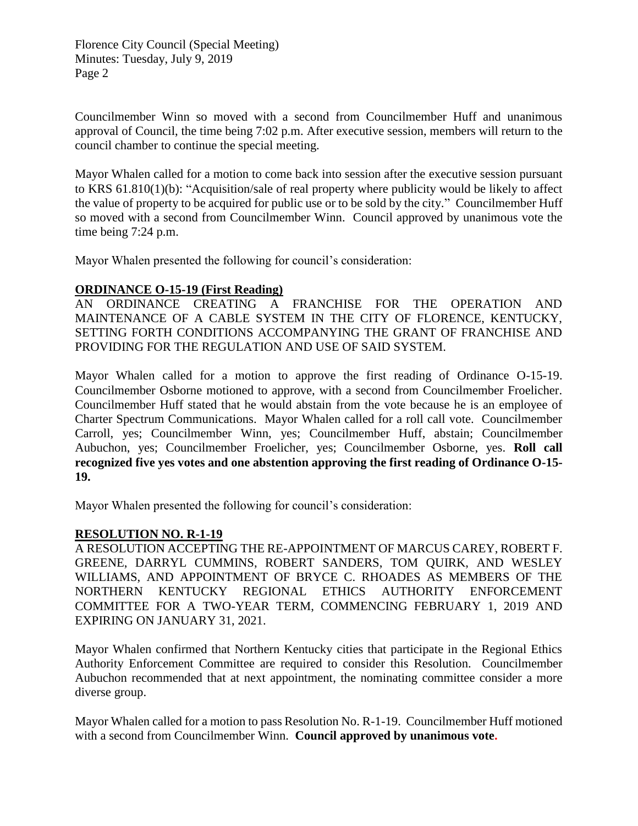Florence City Council (Special Meeting) Minutes: Tuesday, July 9, 2019 Page 2

Councilmember Winn so moved with a second from Councilmember Huff and unanimous approval of Council, the time being 7:02 p.m. After executive session, members will return to the council chamber to continue the special meeting.

Mayor Whalen called for a motion to come back into session after the executive session pursuant to KRS 61.810(1)(b): "Acquisition/sale of real property where publicity would be likely to affect the value of property to be acquired for public use or to be sold by the city." Councilmember Huff so moved with a second from Councilmember Winn. Council approved by unanimous vote the time being 7:24 p.m.

Mayor Whalen presented the following for council's consideration:

#### **ORDINANCE O-15-19 (First Reading)**

AN ORDINANCE CREATING A FRANCHISE FOR THE OPERATION AND MAINTENANCE OF A CABLE SYSTEM IN THE CITY OF FLORENCE, KENTUCKY, SETTING FORTH CONDITIONS ACCOMPANYING THE GRANT OF FRANCHISE AND PROVIDING FOR THE REGULATION AND USE OF SAID SYSTEM.

Mayor Whalen called for a motion to approve the first reading of Ordinance O-15-19. Councilmember Osborne motioned to approve, with a second from Councilmember Froelicher. Councilmember Huff stated that he would abstain from the vote because he is an employee of Charter Spectrum Communications. Mayor Whalen called for a roll call vote. Councilmember Carroll, yes; Councilmember Winn, yes; Councilmember Huff, abstain; Councilmember Aubuchon, yes; Councilmember Froelicher, yes; Councilmember Osborne, yes. **Roll call recognized five yes votes and one abstention approving the first reading of Ordinance O-15- 19.** 

Mayor Whalen presented the following for council's consideration:

## **RESOLUTION NO. R-1-19**

A RESOLUTION ACCEPTING THE RE-APPOINTMENT OF MARCUS CAREY, ROBERT F. GREENE, DARRYL CUMMINS, ROBERT SANDERS, TOM QUIRK, AND WESLEY WILLIAMS, AND APPOINTMENT OF BRYCE C. RHOADES AS MEMBERS OF THE NORTHERN KENTUCKY REGIONAL ETHICS AUTHORITY ENFORCEMENT COMMITTEE FOR A TWO-YEAR TERM, COMMENCING FEBRUARY 1, 2019 AND EXPIRING ON JANUARY 31, 2021.

Mayor Whalen confirmed that Northern Kentucky cities that participate in the Regional Ethics Authority Enforcement Committee are required to consider this Resolution. Councilmember Aubuchon recommended that at next appointment, the nominating committee consider a more diverse group.

Mayor Whalen called for a motion to pass Resolution No. R-1-19. Councilmember Huff motioned with a second from Councilmember Winn. **Council approved by unanimous vote.**